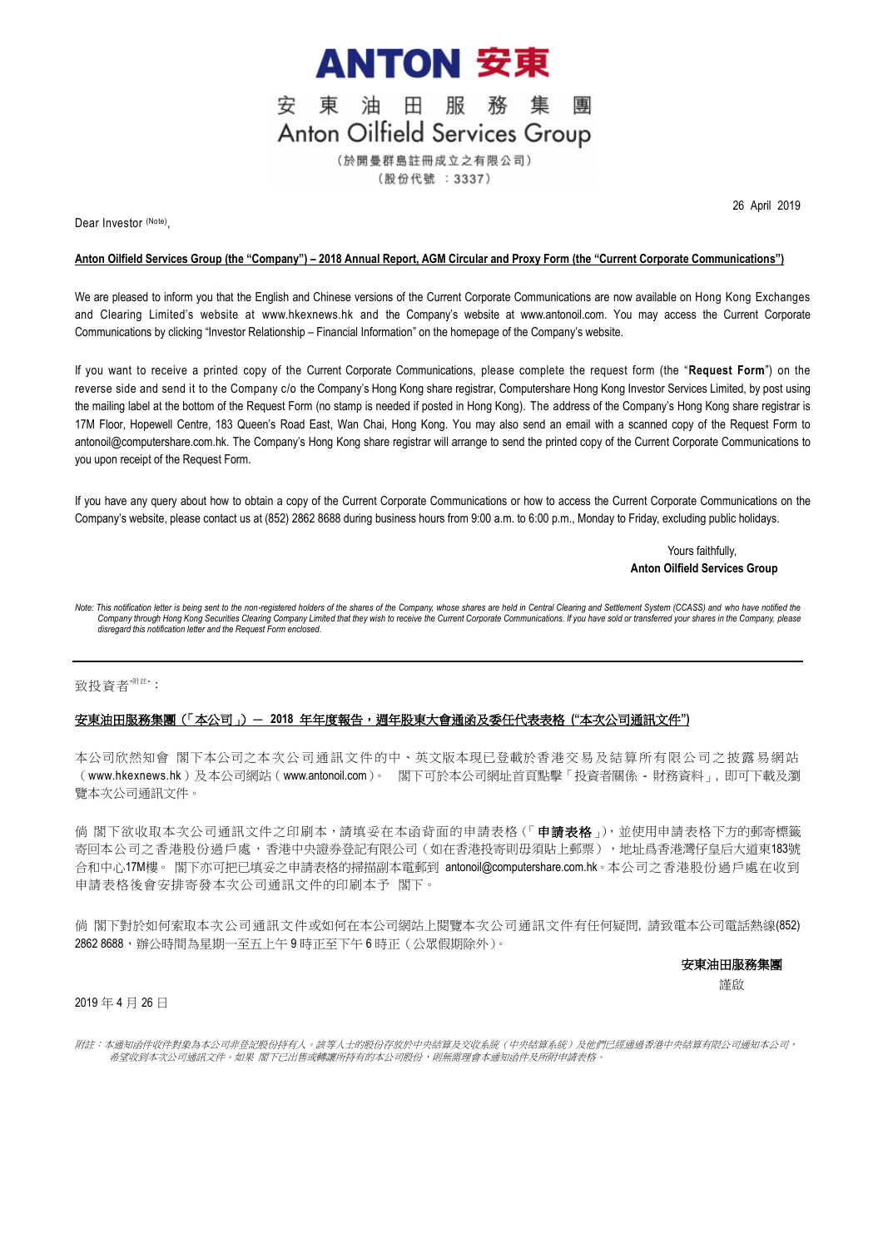

東油田服務集 安 專 **Anton Oilfield Services Group** (於開曼群島註冊成立之有限公司)

(股份代號: 3337)

Dear Investor (Note),

26 April 2019

### **Anton Oilfield Services Group (the "Company") – 2018 Annual Report, AGM Circular and Proxy Form (the "Current Corporate Communications")**

We are pleased to inform you that the English and Chinese versions of the Current Corporate Communications are now available on Hong Kong Exchanges and Clearing Limited's website at [www.hkexnews.hk](http://www.hkexnews.hk/) and the Company's website at [www.antonoil.com.](http://www.antonoil.com/) You may access the Current Corporate Communications by clicking "Investor Relationship – Financial Information" on the homepage of the Company's website.

If you want to receive a printed copy of the Current Corporate Communications, please complete the request form (the "**Request Form**") on the reverse side and send it to the Company c/o the Company's Hong Kong share registrar, Computershare Hong Kong Investor Services Limited, by post using the mailing label at the bottom of the Request Form (no stamp is needed if posted in Hong Kong). The address of the Company's Hong Kong share registrar is 17M Floor, Hopewell Centre, 183 Queen's Road East, Wan Chai, Hong Kong. You may also send an email with a scanned copy of the Request Form to antonoil@computershare.com.hk. The Company's Hong Kong share registrar will arrange to send the printed copy of the Current Corporate Communications to you upon receipt of the Request Form.

If you have any query about how to obtain a copy of the Current Corporate Communications or how to access the Current Corporate Communications on the Company's website, please contact us at (852) 2862 8688 during business hours from 9:00 a.m. to 6:00 p.m., Monday to Friday, excluding public holidays.

## Yours faithfully, **Anton Oilfield Services Group**

Note: This notification letter is being sent to the non-registered holders of the shares of the Company, whose shares are held in Central Clearing and Settlement System (CCASS) and who have notified the *Company through Hong Kong Securities Clearing Company Limited that they wish to receive the Current Corporate Communications. If you have sold or transferred your shares in the Company, please disregard this notification letter and the Request Form enclosed.*

#### 致投資者<sup>"附註</sup>":

## 安東油田服務集團(「本公司」)- **2018** 年年度報告,週年股東大會通函及委任代表表格 **("**本次公司通訊文件**")**

本公司欣然知會 閣下本公司之本次公司通訊文件的中、英文版本現已登載於香港交易及結算所有限公司之披露易網站 ([www.hkexnews.hk](http://www.hkexnews.hk/))及本公司網站([www.antonoil.com](http://www.antonoil.com/))。 閣下可於本公司網址首頁點擊「投資者關係 - 財務資料」, 即可下載及瀏 覽本次公司通訊文件。

倘 閣下欲收取本次公司通訊文件之印刷本,請填妥在本函背面的申請表格(「申**請表格**」), 並使用申請表格下方的郵寄標籤 寄回本公司之香港股份過戶處,香港中央證券登記有限公司(如在香港投寄則毋須貼上郵票),地址爲香港灣仔皇后大道東183號 合和中心17M樓。 閣下亦可把已填妥之申請表格的掃描副本電郵到 antonoil@computershare.com.hk。本公司之香港股份過戶處在收到 申請表格後會安排寄發本次公司通訊文件的印刷本予 閣下。

倘 閣下對於如何索取本次公司通訊文件或如何在本公司網站上閱覽本次公司通訊文件有任何疑問, 請致電本公司電話熱線(852) 2862 8688,辦公時間為星期一至五上午 9 時正至下午 6 時正(公眾假期除外)。

#### 安東油田服務集團

謹啟

# 2019 年 4 月 26 日

附註:本通知函件收件對象為本公司非登記股份持有人。該等人士的股份存放於中央結算及交收系統(中央結算系統)及他們已經通過香港中央結算有限公司通知本公司, 希望收到本次公司通訊文件。如果 閣下已出售或轉讓所持有的本公司股份,則無需理會本通知函件及所附申請表格。